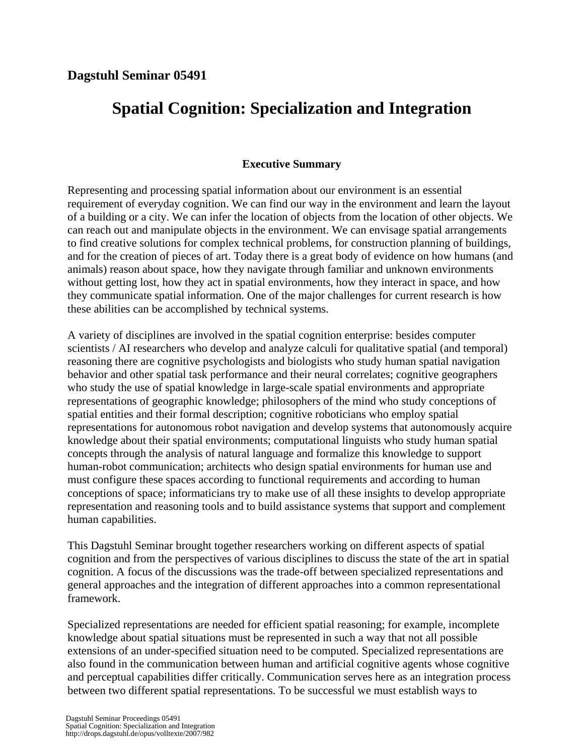## **Spatial Cognition: Specialization and Integration**

## **Executive Summary**

Representing and processing spatial information about our environment is an essential requirement of everyday cognition. We can find our way in the environment and learn the layout of a building or a city. We can infer the location of objects from the location of other objects. We can reach out and manipulate objects in the environment. We can envisage spatial arrangements to find creative solutions for complex technical problems, for construction planning of buildings, and for the creation of pieces of art. Today there is a great body of evidence on how humans (and animals) reason about space, how they navigate through familiar and unknown environments without getting lost, how they act in spatial environments, how they interact in space, and how they communicate spatial information. One of the major challenges for current research is how these abilities can be accomplished by technical systems.

A variety of disciplines are involved in the spatial cognition enterprise: besides computer scientists / AI researchers who develop and analyze calculi for qualitative spatial (and temporal) reasoning there are cognitive psychologists and biologists who study human spatial navigation behavior and other spatial task performance and their neural correlates; cognitive geographers who study the use of spatial knowledge in large-scale spatial environments and appropriate representations of geographic knowledge; philosophers of the mind who study conceptions of spatial entities and their formal description; cognitive roboticians who employ spatial representations for autonomous robot navigation and develop systems that autonomously acquire knowledge about their spatial environments; computational linguists who study human spatial concepts through the analysis of natural language and formalize this knowledge to support human-robot communication; architects who design spatial environments for human use and must configure these spaces according to functional requirements and according to human conceptions of space; informaticians try to make use of all these insights to develop appropriate representation and reasoning tools and to build assistance systems that support and complement human capabilities.

This Dagstuhl Seminar brought together researchers working on different aspects of spatial cognition and from the perspectives of various disciplines to discuss the state of the art in spatial cognition. A focus of the discussions was the trade-off between specialized representations and general approaches and the integration of different approaches into a common representational framework.

Specialized representations are needed for efficient spatial reasoning; for example, incomplete knowledge about spatial situations must be represented in such a way that not all possible extensions of an under-specified situation need to be computed. Specialized representations are also found in the communication between human and artificial cognitive agents whose cognitive and perceptual capabilities differ critically. Communication serves here as an integration process between two different spatial representations. To be successful we must establish ways to